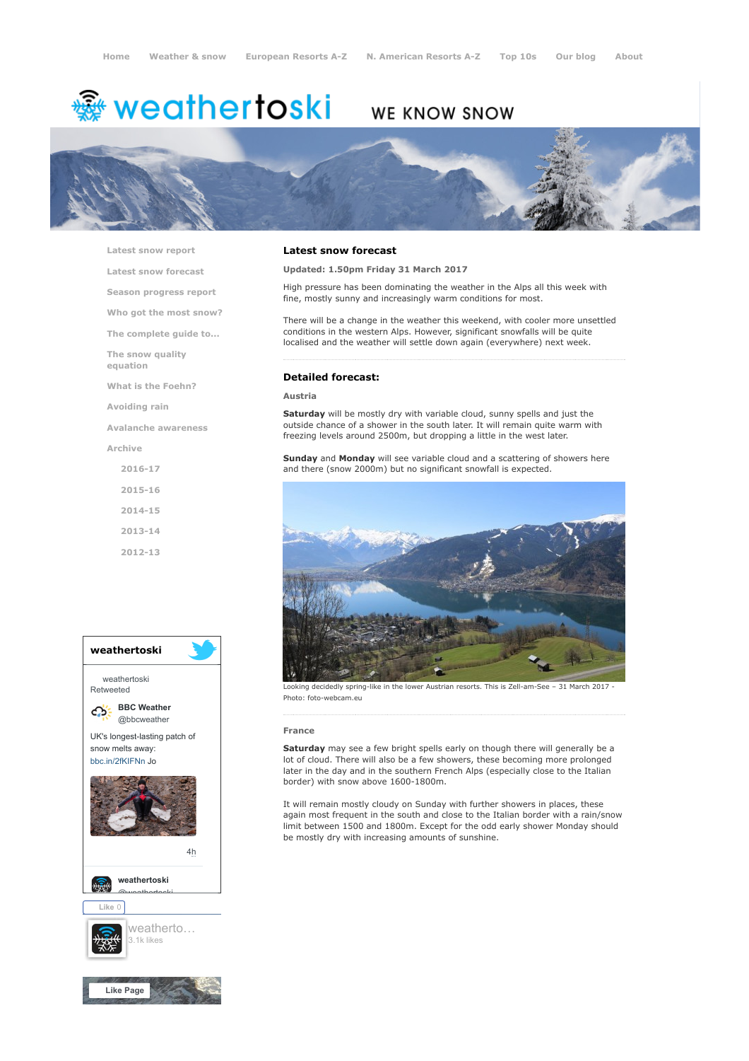# <del>鑾</del> weathertoski

# WE KNOW SNOW



[Latest snow report](https://www.weathertoski.co.uk/weather-snow/latest-snow-report/)

[Latest snow forecast](https://www.weathertoski.co.uk/weather-snow/latest-snow-forecast/)

[Season progress report](https://www.weathertoski.co.uk/weather-snow/season-progress-report/)

[Who got the most snow?](https://www.weathertoski.co.uk/weather-snow/who-got-the-most-snow/)

[The complete guide to...](https://www.weathertoski.co.uk/weather-snow/the-complete-guide-to/)

[The snow quality](https://www.weathertoski.co.uk/weather-snow/the-snow-quality-equation/)

[What is the Foehn?](https://www.weathertoski.co.uk/weather-snow/what-is-the-foehn/)

[Avoiding rain](https://www.weathertoski.co.uk/weather-snow/avoiding-rain/)

[Avalanche awareness](https://www.weathertoski.co.uk/weather-snow/avalanche-awareness/)

[Archive](https://www.weathertoski.co.uk/weather-snow/archive/)

equation

- [2016-17](https://www.weathertoski.co.uk/weather-snow/archive/2016-17/) [2015-16](https://www.weathertoski.co.uk/weather-snow/archive/2015-16/) [2014-15](https://www.weathertoski.co.uk/weather-snow/archive/2014-15/)
- [2013-14](https://www.weathertoski.co.uk/weather-snow/archive/2013-14/)

[2012-13](https://www.weathertoski.co.uk/weather-snow/archive/2012-13/)



# Latest snow forecast

# Updated: 1.50pm Friday 31 March 2017

High pressure has been dominating the weather in the Alps all this week with fine, mostly sunny and increasingly warm conditions for most.

There will be a change in the weather this weekend, with cooler more unsettled conditions in the western Alps. However, significant snowfalls will be quite localised and the weather will settle down again (everywhere) next week.

# Detailed forecast:

#### Austria

Saturday will be mostly dry with variable cloud, sunny spells and just the outside chance of a shower in the south later. It will remain quite warm with freezing levels around 2500m, but dropping a little in the west later.

Sunday and Monday will see variable cloud and a scattering of showers here and there (snow 2000m) but no significant snowfall is expected.



Looking decidedly spring-like in the lower Austrian resorts. This is Zell-am-See – 31 March 2017 Photo: foto-webcam.eu

#### France

Saturday may see a few bright spells early on though there will generally be a lot of cloud. There will also be a few showers, these becoming more prolonged later in the day and in the southern French Alps (especially close to the Italian border) with snow above 1600-1800m.

It will remain mostly cloudy on Sunday with further showers in places, these again most frequent in the south and close to the Italian border with a rain/snow limit between 1500 and 1800m. Except for the odd early shower Monday should be mostly dry with increasing amounts of sunshine.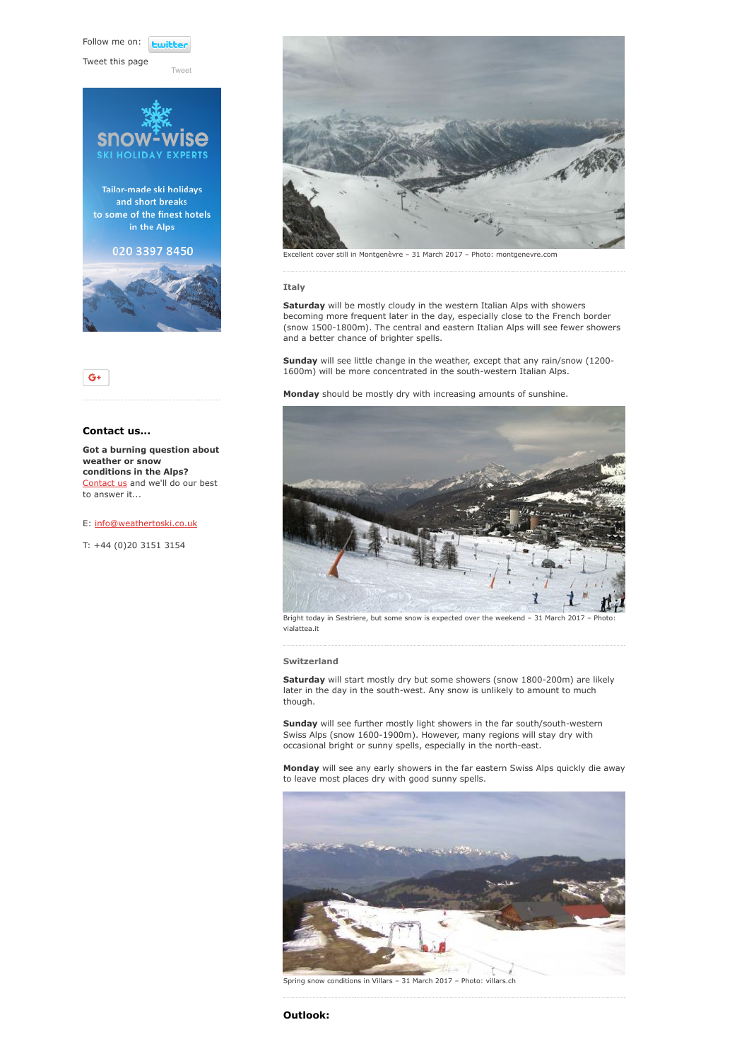Follow me on: *<u>Lwitte</u>* 

Tweet this page







# Contact us...

Got a burning question about weather or snow conditions in the Alps? [Contact us](https://www.weathertoski.co.uk/about-1/contact-us/) and we'll do our best to answer it...

# E: [info@weathertoski.co.uk](mailto:fraser@weathertoski.co.uk)

T: +44 (0)20 3151 3154



Excellent cover still in Montgenèvre – 31 March 2017 – Photo: montgenevre.com

#### Italy

Saturday will be mostly cloudy in the western Italian Alps with showers becoming more frequent later in the day, especially close to the French border (snow 1500-1800m). The central and eastern Italian Alps will see fewer showers and a better chance of brighter spells.

Sunday will see little change in the weather, except that any rain/snow (1200-1600m) will be more concentrated in the south-western Italian Alps.

Monday should be mostly dry with increasing amounts of sunshine.



Bright today in Sestriere, but some snow is expected over the weekend - 31 March 2017 - Photo: vialattea.it

# Switzerland

Saturday will start mostly dry but some showers (snow 1800-200m) are likely later in the day in the south-west. Any snow is unlikely to amount to much though.

Sunday will see further mostly light showers in the far south/south-western Swiss Alps (snow 1600-1900m). However, many regions will stay dry with occasional bright or sunny spells, especially in the north-east.

Monday will see any early showers in the far eastern Swiss Alps quickly die away to leave most places dry with good sunny spells.



Spring snow conditions in Villars – 31 March 2017 – Photo: villars.ch

# Outlook: